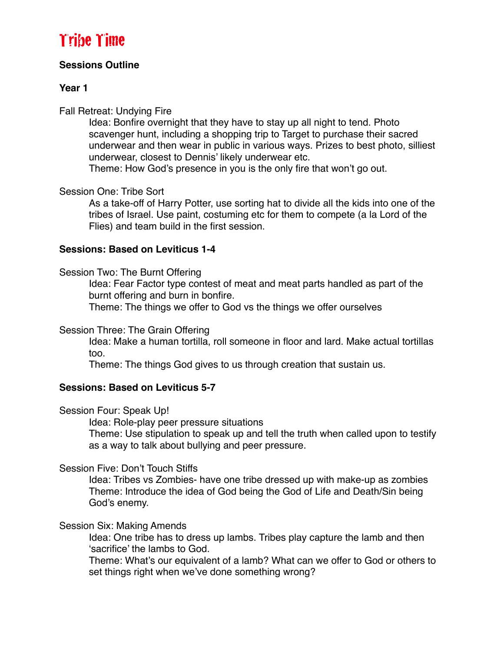## **Sessions Outline**

## **Year 1**

## Fall Retreat: Undying Fire

Idea: Bonfire overnight that they have to stay up all night to tend. Photo scavenger hunt, including a shopping trip to Target to purchase their sacred underwear and then wear in public in various ways. Prizes to best photo, silliest underwear, closest to Dennis' likely underwear etc.

Theme: How God's presence in you is the only fire that won't go out.

## Session One: Tribe Sort

As a take-off of Harry Potter, use sorting hat to divide all the kids into one of the tribes of Israel. Use paint, costuming etc for them to compete (a la Lord of the Flies) and team build in the first session.

## **Sessions: Based on Leviticus 1-4**

## Session Two: The Burnt Offering

Idea: Fear Factor type contest of meat and meat parts handled as part of the burnt offering and burn in bonfire.

Theme: The things we offer to God vs the things we offer ourselves

## Session Three: The Grain Offering

Idea: Make a human tortilla, roll someone in floor and lard. Make actual tortillas too.

Theme: The things God gives to us through creation that sustain us.

## **Sessions: Based on Leviticus 5-7**

## Session Four: Speak Up!

Idea: Role-play peer pressure situations

Theme: Use stipulation to speak up and tell the truth when called upon to testify as a way to talk about bullying and peer pressure.

## Session Five: Don't Touch Stiffs

Idea: Tribes vs Zombies- have one tribe dressed up with make-up as zombies Theme: Introduce the idea of God being the God of Life and Death/Sin being God's enemy.

## Session Six: Making Amends

Idea: One tribe has to dress up lambs. Tribes play capture the lamb and then 'sacrifice' the lambs to God.

Theme: What's our equivalent of a lamb? What can we offer to God or others to set things right when we've done something wrong?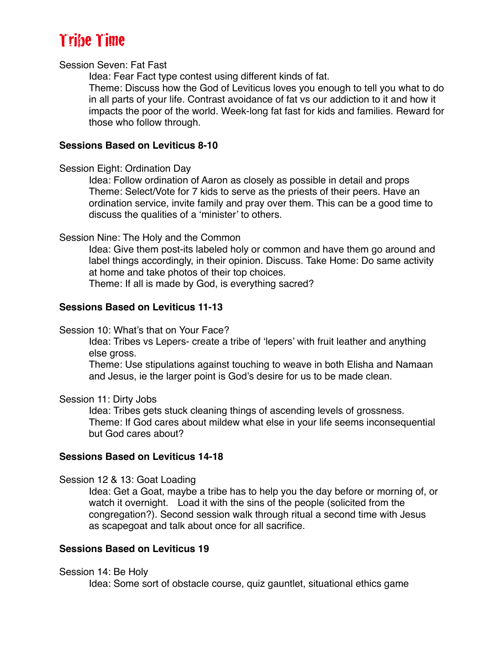#### Session Seven: Fat Fast

Idea: Fear Fact type contest using different kinds of fat.

Theme: Discuss how the God of Leviticus loves you enough to tell you what to do in all parts of your life. Contrast avoidance of fat vs our addiction to it and how it impacts the poor of the world. Week-long fat fast for kids and families. Reward for those who follow through.

#### **Sessions Based on Leviticus 8-10**

#### Session Eight: Ordination Day

Idea: Follow ordination of Aaron as closely as possible in detail and props Theme: Select/Vote for 7 kids to serve as the priests of their peers. Have an ordination service, invite family and pray over them. This can be a good time to discuss the qualities of a 'minister' to others.

#### Session Nine: The Holy and the Common

Idea: Give them post-its labeled holy or common and have them go around and label things accordingly, in their opinion. Discuss. Take Home: Do same activity at home and take photos of their top choices.

Theme: If all is made by God, is everything sacred?

#### **Sessions Based on Leviticus 11-13**

#### Session 10: What's that on Your Face?

Idea: Tribes vs Lepers- create a tribe of 'lepers' with fruit leather and anything else gross.

Theme: Use stipulations against touching to weave in both Elisha and Namaan and Jesus, ie the larger point is God's desire for us to be made clean.

#### Session 11: Dirty Jobs

Idea: Tribes gets stuck cleaning things of ascending levels of grossness. Theme: If God cares about mildew what else in your life seems inconsequential but God cares about?

#### **Sessions Based on Leviticus 14-18**

Session 12 & 13: Goat Loading

Idea: Get a Goat, maybe a tribe has to help you the day before or morning of, or watch it overnight. Load it with the sins of the people (solicited from the congregation?). Second session walk through ritual a second time with Jesus as scapegoat and talk about once for all sacrifice.

#### **Sessions Based on Leviticus 19**

Session 14: Be Holy

Idea: Some sort of obstacle course, quiz gauntlet, situational ethics game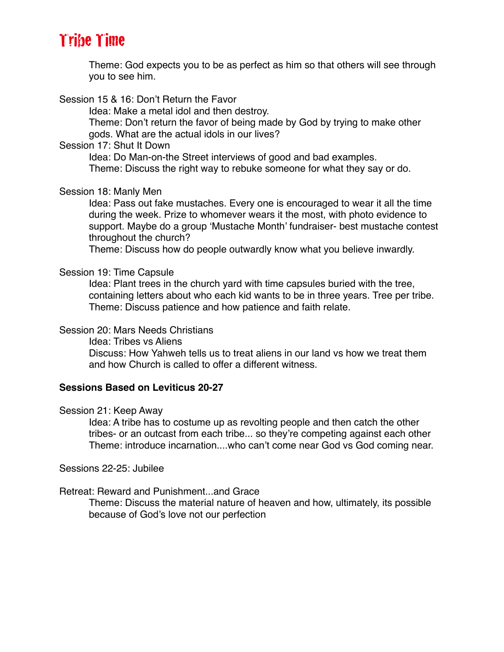Theme: God expects you to be as perfect as him so that others will see through you to see him.

Session 15 & 16: Don't Return the Favor

Idea: Make a metal idol and then destroy.

Theme: Don't return the favor of being made by God by trying to make other gods. What are the actual idols in our lives?

### Session 17: Shut It Down

Idea: Do Man-on-the Street interviews of good and bad examples. Theme: Discuss the right way to rebuke someone for what they say or do.

#### Session 18: Manly Men

Idea: Pass out fake mustaches. Every one is encouraged to wear it all the time during the week. Prize to whomever wears it the most, with photo evidence to support. Maybe do a group 'Mustache Month' fundraiser- best mustache contest throughout the church?

Theme: Discuss how do people outwardly know what you believe inwardly.

#### Session 19: Time Capsule

Idea: Plant trees in the church yard with time capsules buried with the tree, containing letters about who each kid wants to be in three years. Tree per tribe. Theme: Discuss patience and how patience and faith relate.

## Session 20: Mars Needs Christians

Idea: Tribes vs Aliens

Discuss: How Yahweh tells us to treat aliens in our land vs how we treat them and how Church is called to offer a different witness.

## **Sessions Based on Leviticus 20-27**

#### Session 21: Keep Away

Idea: A tribe has to costume up as revolting people and then catch the other tribes- or an outcast from each tribe... so they're competing against each other Theme: introduce incarnation....who can't come near God vs God coming near.

Sessions 22-25: Jubilee

## Retreat: Reward and Punishment...and Grace

Theme: Discuss the material nature of heaven and how, ultimately, its possible because of God's love not our perfection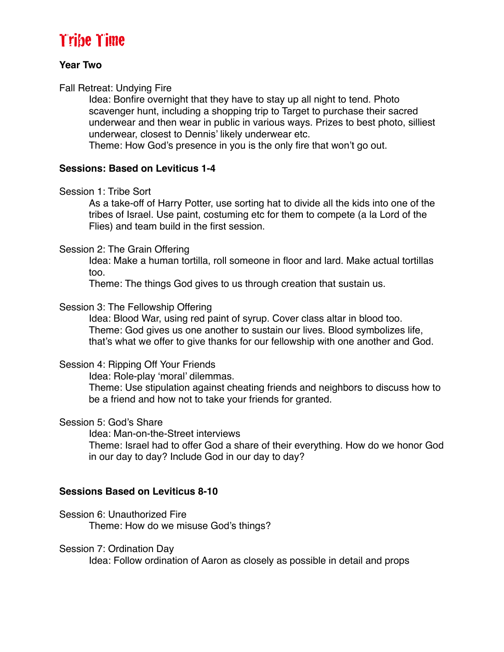#### **Year Two**

### Fall Retreat: Undying Fire

Idea: Bonfire overnight that they have to stay up all night to tend. Photo scavenger hunt, including a shopping trip to Target to purchase their sacred underwear and then wear in public in various ways. Prizes to best photo, silliest underwear, closest to Dennis' likely underwear etc.

Theme: How God's presence in you is the only fire that won't go out.

## **Sessions: Based on Leviticus 1-4**

#### Session 1: Tribe Sort

As a take-off of Harry Potter, use sorting hat to divide all the kids into one of the tribes of Israel. Use paint, costuming etc for them to compete (a la Lord of the Flies) and team build in the first session.

#### Session 2: The Grain Offering

Idea: Make a human tortilla, roll someone in floor and lard. Make actual tortillas too.

Theme: The things God gives to us through creation that sustain us.

#### Session 3: The Fellowship Offering

Idea: Blood War, using red paint of syrup. Cover class altar in blood too. Theme: God gives us one another to sustain our lives. Blood symbolizes life, that's what we offer to give thanks for our fellowship with one another and God.

## Session 4: Ripping Off Your Friends

Idea: Role-play 'moral' dilemmas.

Theme: Use stipulation against cheating friends and neighbors to discuss how to be a friend and how not to take your friends for granted.

#### Session 5: God's Share

Idea: Man-on-the-Street interviews

Theme: Israel had to offer God a share of their everything. How do we honor God in our day to day? Include God in our day to day?

## **Sessions Based on Leviticus 8-10**

Session 6: Unauthorized Fire Theme: How do we misuse God's things?

#### Session 7: Ordination Day

Idea: Follow ordination of Aaron as closely as possible in detail and props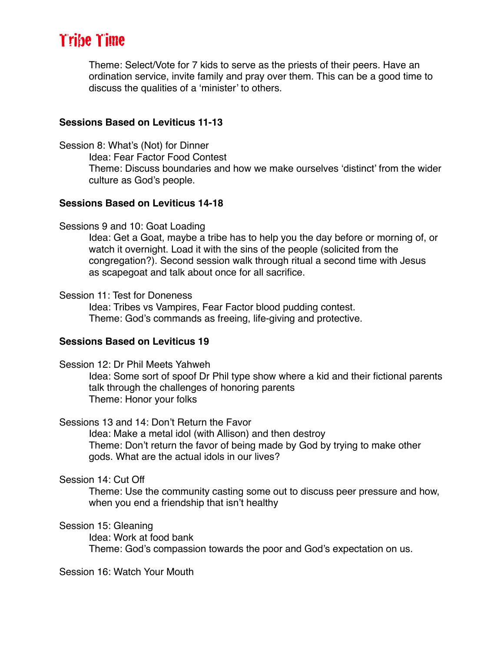Theme: Select/Vote for 7 kids to serve as the priests of their peers. Have an ordination service, invite family and pray over them. This can be a good time to discuss the qualities of a 'minister' to others.

#### **Sessions Based on Leviticus 11-13**

Session 8: What's (Not) for Dinner

Idea: Fear Factor Food Contest Theme: Discuss boundaries and how we make ourselves 'distinct' from the wider culture as God's people.

#### **Sessions Based on Leviticus 14-18**

#### Sessions 9 and 10: Goat Loading

Idea: Get a Goat, maybe a tribe has to help you the day before or morning of, or watch it overnight. Load it with the sins of the people (solicited from the congregation?). Second session walk through ritual a second time with Jesus as scapegoat and talk about once for all sacrifice.

#### Session 11: Test for Doneness

Idea: Tribes vs Vampires, Fear Factor blood pudding contest. Theme: God's commands as freeing, life-giving and protective.

#### **Sessions Based on Leviticus 19**

Session 12: Dr Phil Meets Yahweh

Idea: Some sort of spoof Dr Phil type show where a kid and their fictional parents talk through the challenges of honoring parents Theme: Honor your folks

#### Sessions 13 and 14: Don't Return the Favor

Idea: Make a metal idol (with Allison) and then destroy Theme: Don't return the favor of being made by God by trying to make other gods. What are the actual idols in our lives?

#### Session 14: Cut Off

Theme: Use the community casting some out to discuss peer pressure and how, when you end a friendship that isn't healthy

#### Session 15: Gleaning

Idea: Work at food bank Theme: God's compassion towards the poor and God's expectation on us.

Session 16: Watch Your Mouth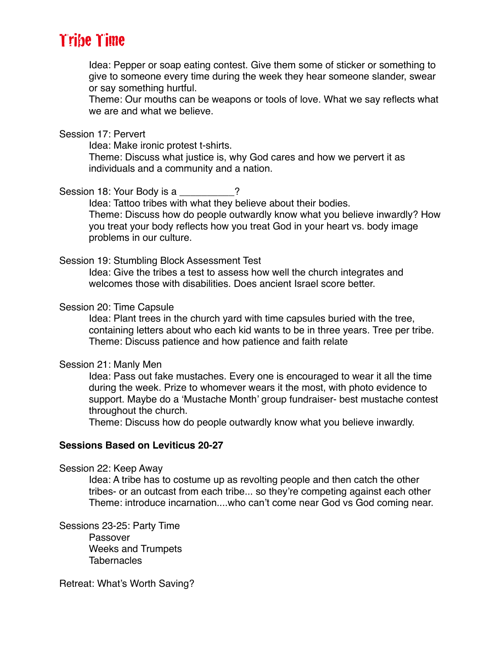Idea: Pepper or soap eating contest. Give them some of sticker or something to give to someone every time during the week they hear someone slander, swear or say something hurtful.

Theme: Our mouths can be weapons or tools of love. What we say reflects what we are and what we believe.

#### Session 17: Pervert

Idea: Make ironic protest t-shirts.

Theme: Discuss what justice is, why God cares and how we pervert it as individuals and a community and a nation.

Session 18: Your Body is a many cases in the Session 18:

Idea: Tattoo tribes with what they believe about their bodies. Theme: Discuss how do people outwardly know what you believe inwardly? How you treat your body reflects how you treat God in your heart vs. body image problems in our culture.

#### Session 19: Stumbling Block Assessment Test

Idea: Give the tribes a test to assess how well the church integrates and welcomes those with disabilities. Does ancient Israel score better.

#### Session 20: Time Capsule

Idea: Plant trees in the church yard with time capsules buried with the tree, containing letters about who each kid wants to be in three years. Tree per tribe. Theme: Discuss patience and how patience and faith relate

#### Session 21: Manly Men

Idea: Pass out fake mustaches. Every one is encouraged to wear it all the time during the week. Prize to whomever wears it the most, with photo evidence to support. Maybe do a 'Mustache Month' group fundraiser- best mustache contest throughout the church.

Theme: Discuss how do people outwardly know what you believe inwardly.

#### **Sessions Based on Leviticus 20-27**

Session 22: Keep Away

Idea: A tribe has to costume up as revolting people and then catch the other tribes- or an outcast from each tribe... so they're competing against each other Theme: introduce incarnation....who can't come near God vs God coming near.

Sessions 23-25: Party Time Passover Weeks and Trumpets **Tabernacles** 

Retreat: What's Worth Saving?